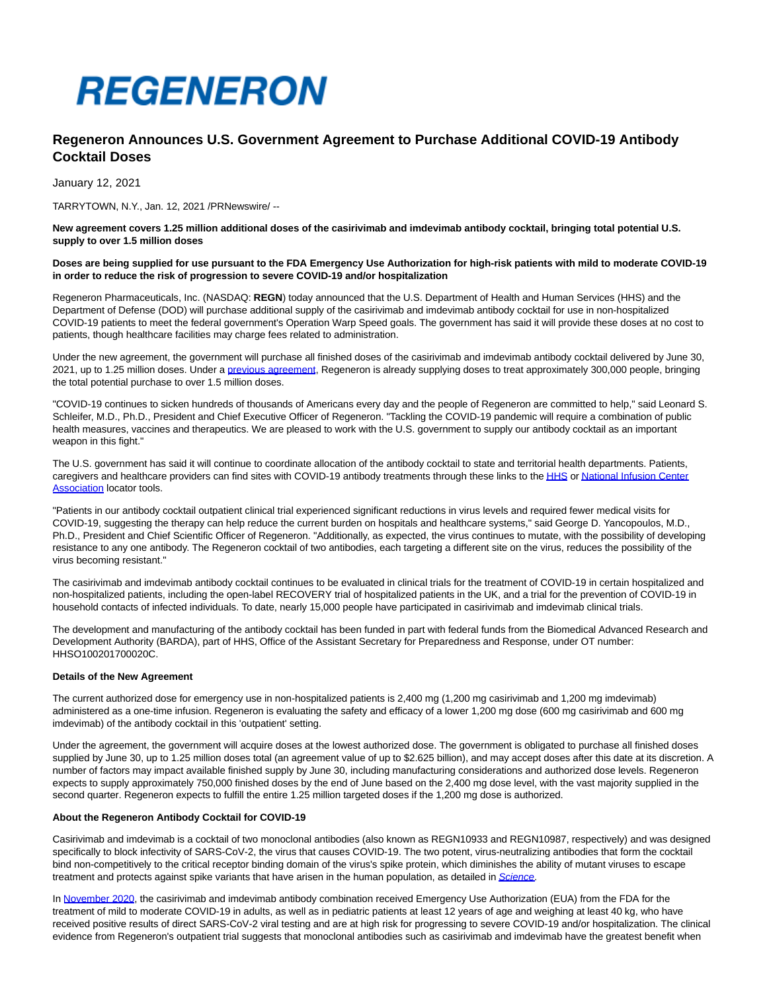

# **Regeneron Announces U.S. Government Agreement to Purchase Additional COVID-19 Antibody Cocktail Doses**

January 12, 2021

TARRYTOWN, N.Y., Jan. 12, 2021 /PRNewswire/ --

**New agreement covers 1.25 million additional doses of the casirivimab and imdevimab antibody cocktail, bringing total potential U.S. supply to over 1.5 million doses**

#### **Doses are being supplied for use pursuant to the FDA Emergency Use Authorization for high-risk patients with mild to moderate COVID-19 in order to reduce the risk of progression to severe COVID-19 and/or hospitalization**

Regeneron Pharmaceuticals, Inc. (NASDAQ: **REGN**) today announced that the U.S. Department of Health and Human Services (HHS) and the Department of Defense (DOD) will purchase additional supply of the casirivimab and imdevimab antibody cocktail for use in non-hospitalized COVID-19 patients to meet the federal government's Operation Warp Speed goals. The government has said it will provide these doses at no cost to patients, though healthcare facilities may charge fees related to administration.

Under the new agreement, the government will purchase all finished doses of the casirivimab and imdevimab antibody cocktail delivered by June 30, 2021, up to 1.25 million doses. Under a [previous agreement,](https://c212.net/c/link/?t=0&l=en&o=3035295-1&h=1862213481&u=https%3A%2F%2Finvestor.regeneron.com%2Fnews-releases%2Fnews-release-details%2Fregeneron-announces-manufacturing-and-supply-agreement-barda-and&a=previous+agreement) Regeneron is already supplying doses to treat approximately 300,000 people, bringing the total potential purchase to over 1.5 million doses.

"COVID-19 continues to sicken hundreds of thousands of Americans every day and the people of Regeneron are committed to help," said Leonard S. Schleifer, M.D., Ph.D., President and Chief Executive Officer of Regeneron. "Tackling the COVID-19 pandemic will require a combination of public health measures, vaccines and therapeutics. We are pleased to work with the U.S. government to supply our antibody cocktail as an important weapon in this fight."

The U.S. government has said it will continue to coordinate allocation of the antibody cocktail to state and territorial health departments. Patients, caregivers and healthcare providers can find sites with COVID-19 antibody treatments through these links to th[e HHS o](https://c212.net/c/link/?t=0&l=en&o=3035295-1&h=469501142&u=https%3A%2F%2Fprotect-public.hhs.gov%2Fpages%2Ftherapeutics-distribution%23distribution-locations&a=HHS)[r National Infusion Center](https://c212.net/c/link/?t=0&l=en&o=3035295-1&h=3984042840&u=https%3A%2F%2Fcovid.infusioncenter.org%2F&a=National+Infusion+Center+Association) Association locator tools.

"Patients in our antibody cocktail outpatient clinical trial experienced significant reductions in virus levels and required fewer medical visits for COVID-19, suggesting the therapy can help reduce the current burden on hospitals and healthcare systems," said George D. Yancopoulos, M.D., Ph.D., President and Chief Scientific Officer of Regeneron. "Additionally, as expected, the virus continues to mutate, with the possibility of developing resistance to any one antibody. The Regeneron cocktail of two antibodies, each targeting a different site on the virus, reduces the possibility of the virus becoming resistant."

The casirivimab and imdevimab antibody cocktail continues to be evaluated in clinical trials for the treatment of COVID-19 in certain hospitalized and non-hospitalized patients, including the open-label RECOVERY trial of hospitalized patients in the UK, and a trial for the prevention of COVID-19 in household contacts of infected individuals. To date, nearly 15,000 people have participated in casirivimab and imdevimab clinical trials.

The development and manufacturing of the antibody cocktail has been funded in part with federal funds from the Biomedical Advanced Research and Development Authority (BARDA), part of HHS, Office of the Assistant Secretary for Preparedness and Response, under OT number: HHSO100201700020C.

#### **Details of the New Agreement**

The current authorized dose for emergency use in non-hospitalized patients is 2,400 mg (1,200 mg casirivimab and 1,200 mg imdevimab) administered as a one-time infusion. Regeneron is evaluating the safety and efficacy of a lower 1,200 mg dose (600 mg casirivimab and 600 mg imdevimab) of the antibody cocktail in this 'outpatient' setting.

Under the agreement, the government will acquire doses at the lowest authorized dose. The government is obligated to purchase all finished doses supplied by June 30, up to 1.25 million doses total (an agreement value of up to \$2.625 billion), and may accept doses after this date at its discretion. A number of factors may impact available finished supply by June 30, including manufacturing considerations and authorized dose levels. Regeneron expects to supply approximately 750,000 finished doses by the end of June based on the 2,400 mg dose level, with the vast majority supplied in the second quarter. Regeneron expects to fulfill the entire 1.25 million targeted doses if the 1,200 mg dose is authorized.

#### **About the Regeneron Antibody Cocktail for COVID-19**

Casirivimab and imdevimab is a cocktail of two monoclonal antibodies (also known as REGN10933 and REGN10987, respectively) and was designed specifically to block infectivity of SARS-CoV-2, the virus that causes COVID-19. The two potent, virus-neutralizing antibodies that form the cocktail bind non-competitively to the critical receptor binding domain of the virus's spike protein, which diminishes the ability of mutant viruses to escape treatment and protects against spike variants that have arisen in the human population, as detailed in [Science](https://c212.net/c/link/?t=0&l=en&o=3035295-1&h=785922136&u=https%3A%2F%2Finvestor.regeneron.com%2Fnews-releases%2Fnews-release-details%2Ftwo-science-publications-highlight-potential-regn-cov2-anti&a=Science).

In [November 2020,](https://c212.net/c/link/?t=0&l=en&o=3035295-1&h=3762462781&u=https%3A%2F%2Finvestor.regeneron.com%2Fnews-releases%2Fnews-release-details%2Fregenerons-regen-cov2-first-antibody-cocktail-covid-19-receive&a=November+2020) the casirivimab and imdevimab antibody combination received Emergency Use Authorization (EUA) from the FDA for the treatment of mild to moderate COVID-19 in adults, as well as in pediatric patients at least 12 years of age and weighing at least 40 kg, who have received positive results of direct SARS-CoV-2 viral testing and are at high risk for progressing to severe COVID-19 and/or hospitalization. The clinical evidence from Regeneron's outpatient trial suggests that monoclonal antibodies such as casirivimab and imdevimab have the greatest benefit when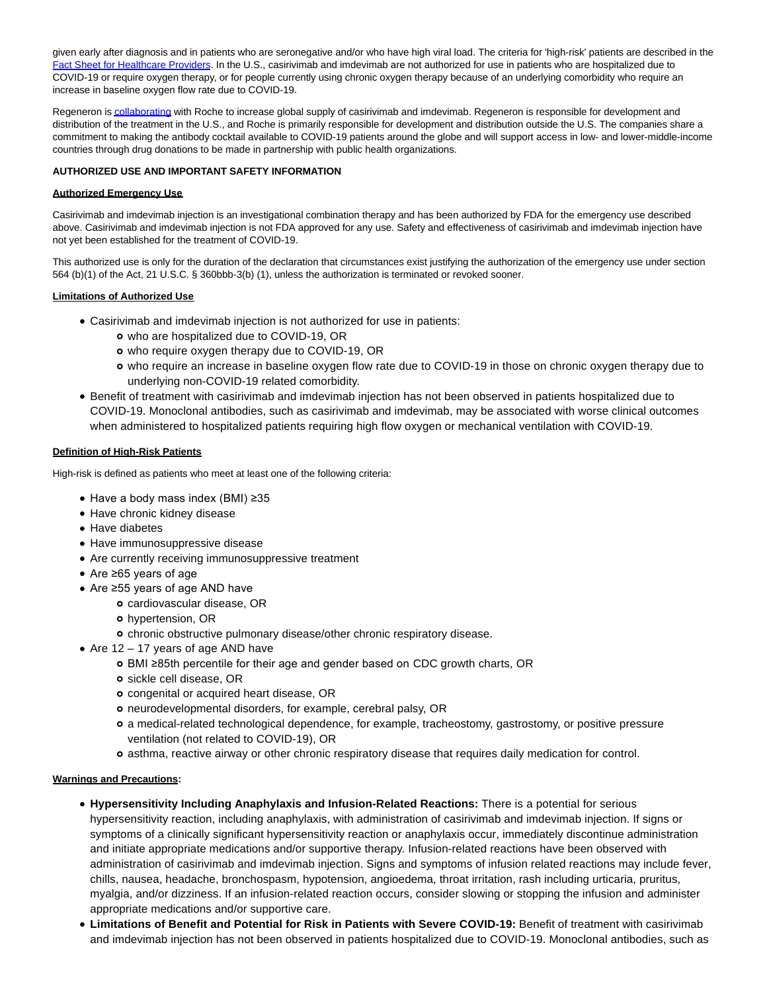given early after diagnosis and in patients who are seronegative and/or who have high viral load. The criteria for 'high-risk' patients are described in the [Fact Sheet for Healthcare Providers.](https://c212.net/c/link/?t=0&l=en&o=3035295-1&h=3002372944&u=https%3A%2F%2Fwww.regeneroneua.com%2F&a=Fact+Sheet+for+Healthcare+Providers) In the U.S., casirivimab and imdevimab are not authorized for use in patients who are hospitalized due to COVID-19 or require oxygen therapy, or for people currently using chronic oxygen therapy because of an underlying comorbidity who require an increase in baseline oxygen flow rate due to COVID-19.

Regeneron i[s collaborating w](https://c212.net/c/link/?t=0&l=en&o=3035295-1&h=2592357221&u=https%3A%2F%2Finvestor.regeneron.com%2Fnews-releases%2Fnews-release-details%2Fregeneron-and-roche-collaborate-significantly-increase-global&a=collaborating)ith Roche to increase global supply of casirivimab and imdevimab. Regeneron is responsible for development and distribution of the treatment in the U.S., and Roche is primarily responsible for development and distribution outside the U.S. The companies share a commitment to making the antibody cocktail available to COVID-19 patients around the globe and will support access in low- and lower-middle-income countries through drug donations to be made in partnership with public health organizations.

### **AUTHORIZED USE AND IMPORTANT SAFETY INFORMATION**

#### **Authorized Emergency Use**

Casirivimab and imdevimab injection is an investigational combination therapy and has been authorized by FDA for the emergency use described above. Casirivimab and imdevimab injection is not FDA approved for any use. Safety and effectiveness of casirivimab and imdevimab injection have not yet been established for the treatment of COVID-19.

This authorized use is only for the duration of the declaration that circumstances exist justifying the authorization of the emergency use under section 564 (b)(1) of the Act, 21 U.S.C. § 360bbb-3(b) (1), unless the authorization is terminated or revoked sooner.

### **Limitations of Authorized Use**

- Casirivimab and imdevimab injection is not authorized for use in patients:
	- who are hospitalized due to COVID-19, OR
	- who require oxygen therapy due to COVID-19, OR
	- who require an increase in baseline oxygen flow rate due to COVID-19 in those on chronic oxygen therapy due to underlying non-COVID-19 related comorbidity.
- Benefit of treatment with casirivimab and imdevimab injection has not been observed in patients hospitalized due to COVID-19. Monoclonal antibodies, such as casirivimab and imdevimab, may be associated with worse clinical outcomes when administered to hospitalized patients requiring high flow oxygen or mechanical ventilation with COVID-19.

# **Definition of High-Risk Patients**

High-risk is defined as patients who meet at least one of the following criteria:

- Have a body mass index (BMI) ≥35
- Have chronic kidney disease
- Have diabetes
- Have immunosuppressive disease
- Are currently receiving immunosuppressive treatment
- Are ≥65 years of age
- Are ≥55 years of age AND have
	- cardiovascular disease, OR
	- o hypertension, OR
	- o chronic obstructive pulmonary disease/other chronic respiratory disease.
- Are  $12 17$  years of age AND have
	- BMI ≥85th percentile for their age and gender based on CDC growth charts, OR
	- o sickle cell disease, OR
	- congenital or acquired heart disease, OR
	- neurodevelopmental disorders, for example, cerebral palsy, OR
	- a medical-related technological dependence, for example, tracheostomy, gastrostomy, or positive pressure ventilation (not related to COVID-19), OR
	- o asthma, reactive airway or other chronic respiratory disease that requires daily medication for control.

# **Warnings and Precautions:**

- **Hypersensitivity Including Anaphylaxis and Infusion-Related Reactions:** There is a potential for serious hypersensitivity reaction, including anaphylaxis, with administration of casirivimab and imdevimab injection. If signs or symptoms of a clinically significant hypersensitivity reaction or anaphylaxis occur, immediately discontinue administration and initiate appropriate medications and/or supportive therapy. Infusion-related reactions have been observed with administration of casirivimab and imdevimab injection. Signs and symptoms of infusion related reactions may include fever, chills, nausea, headache, bronchospasm, hypotension, angioedema, throat irritation, rash including urticaria, pruritus, myalgia, and/or dizziness. If an infusion-related reaction occurs, consider slowing or stopping the infusion and administer appropriate medications and/or supportive care.
- **Limitations of Benefit and Potential for Risk in Patients with Severe COVID-19:** Benefit of treatment with casirivimab and imdevimab injection has not been observed in patients hospitalized due to COVID-19. Monoclonal antibodies, such as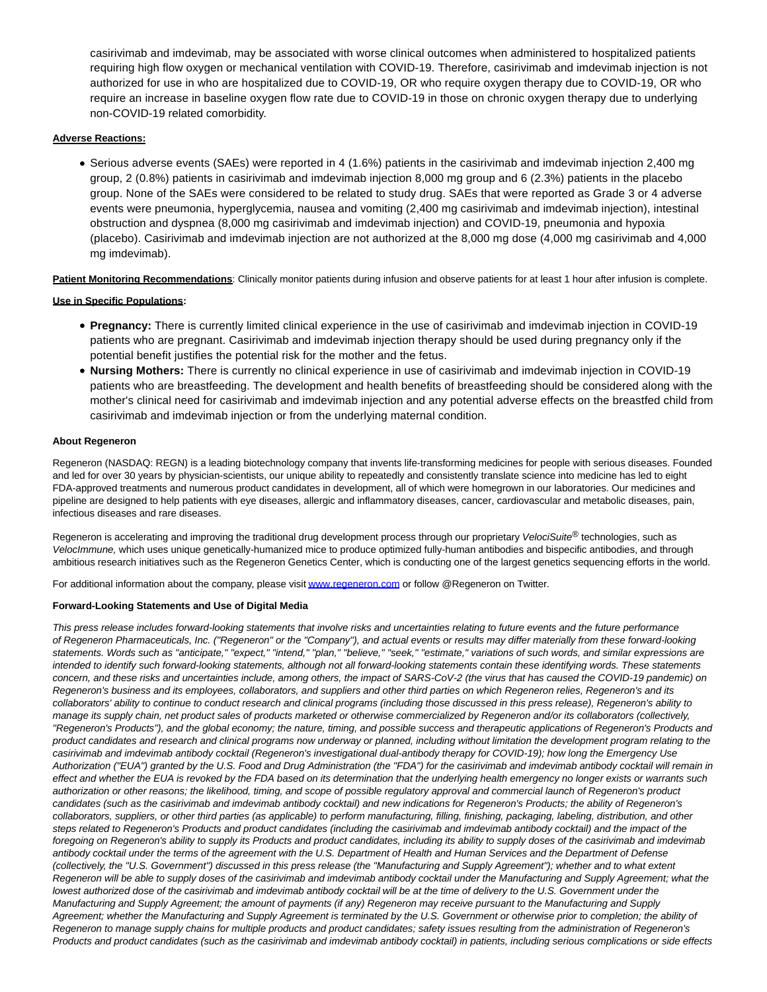casirivimab and imdevimab, may be associated with worse clinical outcomes when administered to hospitalized patients requiring high flow oxygen or mechanical ventilation with COVID-19. Therefore, casirivimab and imdevimab injection is not authorized for use in who are hospitalized due to COVID-19, OR who require oxygen therapy due to COVID-19, OR who require an increase in baseline oxygen flow rate due to COVID-19 in those on chronic oxygen therapy due to underlying non-COVID-19 related comorbidity.

## **Adverse Reactions:**

• Serious adverse events (SAEs) were reported in 4 (1.6%) patients in the casirivimab and imdevimab injection 2,400 mg group, 2 (0.8%) patients in casirivimab and imdevimab injection 8,000 mg group and 6 (2.3%) patients in the placebo group. None of the SAEs were considered to be related to study drug. SAEs that were reported as Grade 3 or 4 adverse events were pneumonia, hyperglycemia, nausea and vomiting (2,400 mg casirivimab and imdevimab injection), intestinal obstruction and dyspnea (8,000 mg casirivimab and imdevimab injection) and COVID-19, pneumonia and hypoxia (placebo). Casirivimab and imdevimab injection are not authorized at the 8,000 mg dose (4,000 mg casirivimab and 4,000 mg imdevimab).

**Patient Monitoring Recommendations**: Clinically monitor patients during infusion and observe patients for at least 1 hour after infusion is complete.

### **Use in Specific Populations:**

- **Pregnancy:** There is currently limited clinical experience in the use of casirivimab and imdevimab injection in COVID-19 patients who are pregnant. Casirivimab and imdevimab injection therapy should be used during pregnancy only if the potential benefit justifies the potential risk for the mother and the fetus.
- **Nursing Mothers:** There is currently no clinical experience in use of casirivimab and imdevimab injection in COVID-19 patients who are breastfeeding. The development and health benefits of breastfeeding should be considered along with the mother's clinical need for casirivimab and imdevimab injection and any potential adverse effects on the breastfed child from casirivimab and imdevimab injection or from the underlying maternal condition.

#### **About Regeneron**

Regeneron (NASDAQ: REGN) is a leading biotechnology company that invents life-transforming medicines for people with serious diseases. Founded and led for over 30 years by physician-scientists, our unique ability to repeatedly and consistently translate science into medicine has led to eight FDA-approved treatments and numerous product candidates in development, all of which were homegrown in our laboratories. Our medicines and pipeline are designed to help patients with eye diseases, allergic and inflammatory diseases, cancer, cardiovascular and metabolic diseases, pain, infectious diseases and rare diseases.

Regeneron is accelerating and improving the traditional drug development process through our proprietary VelociSuite® technologies, such as VelocImmune, which uses unique genetically-humanized mice to produce optimized fully-human antibodies and bispecific antibodies, and through ambitious research initiatives such as the Regeneron Genetics Center, which is conducting one of the largest genetics sequencing efforts in the world.

For additional information about the company, please visi[t www.regeneron.com o](https://c212.net/c/link/?t=0&l=en&o=3035295-1&h=1933720876&u=http%3A%2F%2Fwww.regeneron.com%2F&a=www.regeneron.com)r follow @Regeneron on Twitter.

#### **Forward-Looking Statements and Use of Digital Media**

This press release includes forward-looking statements that involve risks and uncertainties relating to future events and the future performance of Regeneron Pharmaceuticals, Inc. ("Regeneron" or the "Company"), and actual events or results may differ materially from these forward-looking statements. Words such as "anticipate," "expect," "intend," "plan," "believe," "seek," "estimate," variations of such words, and similar expressions are intended to identify such forward-looking statements, although not all forward-looking statements contain these identifying words. These statements concern, and these risks and uncertainties include, among others, the impact of SARS-CoV-2 (the virus that has caused the COVID-19 pandemic) on Regeneron's business and its employees, collaborators, and suppliers and other third parties on which Regeneron relies, Regeneron's and its collaborators' ability to continue to conduct research and clinical programs (including those discussed in this press release), Regeneron's ability to manage its supply chain, net product sales of products marketed or otherwise commercialized by Regeneron and/or its collaborators (collectively, "Regeneron's Products"), and the global economy; the nature, timing, and possible success and therapeutic applications of Regeneron's Products and product candidates and research and clinical programs now underway or planned, including without limitation the development program relating to the casirivimab and imdevimab antibody cocktail (Regeneron's investigational dual-antibody therapy for COVID-19); how long the Emergency Use Authorization ("EUA") granted by the U.S. Food and Drug Administration (the "FDA") for the casirivimab and imdevimab antibody cocktail will remain in effect and whether the EUA is revoked by the FDA based on its determination that the underlying health emergency no longer exists or warrants such authorization or other reasons; the likelihood, timing, and scope of possible regulatory approval and commercial launch of Regeneron's product candidates (such as the casirivimab and imdevimab antibody cocktail) and new indications for Regeneron's Products; the ability of Regeneron's collaborators, suppliers, or other third parties (as applicable) to perform manufacturing, filling, finishing, packaging, labeling, distribution, and other steps related to Regeneron's Products and product candidates (including the casirivimab and imdevimab antibody cocktail) and the impact of the foregoing on Regeneron's ability to supply its Products and product candidates, including its ability to supply doses of the casirivimab and imdevimab antibody cocktail under the terms of the agreement with the U.S. Department of Health and Human Services and the Department of Defense (collectively, the "U.S. Government") discussed in this press release (the "Manufacturing and Supply Agreement"); whether and to what extent Regeneron will be able to supply doses of the casirivimab and imdevimab antibody cocktail under the Manufacturing and Supply Agreement; what the lowest authorized dose of the casirivimab and imdevimab antibody cocktail will be at the time of delivery to the U.S. Government under the Manufacturing and Supply Agreement; the amount of payments (if any) Regeneron may receive pursuant to the Manufacturing and Supply Agreement; whether the Manufacturing and Supply Agreement is terminated by the U.S. Government or otherwise prior to completion; the ability of Regeneron to manage supply chains for multiple products and product candidates; safety issues resulting from the administration of Regeneron's Products and product candidates (such as the casirivimab and imdevimab antibody cocktail) in patients, including serious complications or side effects